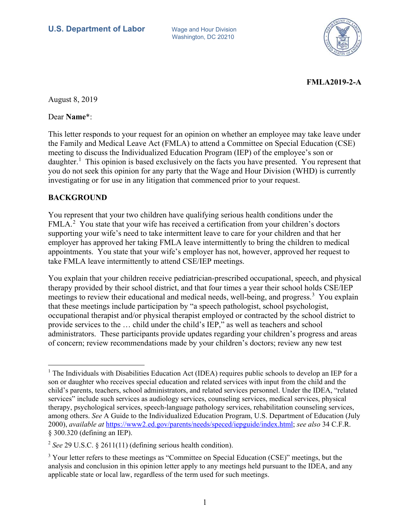Washington, DC 20210



## **FMLA2019-2-A**

August 8, 2019

Dear **Name**\*:

This letter responds to your request for an opinion on whether an employee may take leave under the Family and Medical Leave Act (FMLA) to attend a Committee on Special Education (CSE) meeting to discuss the Individualized Education Program (IEP) of the employee's son or daughter.<sup>[1](#page-0-0)</sup> This opinion is based exclusively on the facts you have presented. You represent that you do not seek this opinion for any party that the Wage and Hour Division (WHD) is currently investigating or for use in any litigation that commenced prior to your request.

## **BACKGROUND**

You represent that your two children have qualifying serious health conditions under the FMLA.<sup>[2](#page-0-1)</sup> You state that your wife has received a certification from your children's doctors supporting your wife's need to take intermittent leave to care for your children and that her employer has approved her taking FMLA leave intermittently to bring the children to medical appointments. You state that your wife's employer has not, however, approved her request to take FMLA leave intermittently to attend CSE/IEP meetings.

You explain that your children receive pediatrician-prescribed occupational, speech, and physical therapy provided by their school district, and that four times a year their school holds CSE/IEP meetings to review their educational and medical needs, well-being, and progress.<sup>[3](#page-0-2)</sup> You explain that these meetings include participation by "a speech pathologist, school psychologist, occupational therapist and/or physical therapist employed or contracted by the school district to provide services to the … child under the child's IEP," as well as teachers and school administrators. These participants provide updates regarding your children's progress and areas of concern; review recommendations made by your children's doctors; review any new test

<span id="page-0-0"></span><sup>-</sup> $<sup>1</sup>$  The Individuals with Disabilities Education Act (IDEA) requires public schools to develop an IEP for a</sup> son or daughter who receives special education and related services with input from the child and the child's parents, teachers, school administrators, and related services personnel. Under the IDEA, "related services" include such services as audiology services, counseling services, medical services, physical therapy, psychological services, speech-language pathology services, rehabilitation counseling services, among others. *See* A Guide to the Individualized Education Program, U.S. Department of Education (July 2000), *available at* [https://www2.ed.gov/parents/needs/speced/iepguide/index.html;](https://www2.ed.gov/parents/needs/speced/iepguide/index.html) *see also* 34 C.F.R. § 300.320 (defining an IEP).

<span id="page-0-1"></span><sup>2</sup> *See* 29 U.S.C. § 2611(11) (defining serious health condition).

<span id="page-0-2"></span><sup>&</sup>lt;sup>3</sup> Your letter refers to these meetings as "Committee on Special Education (CSE)" meetings, but the analysis and conclusion in this opinion letter apply to any meetings held pursuant to the IDEA, and any applicable state or local law, regardless of the term used for such meetings.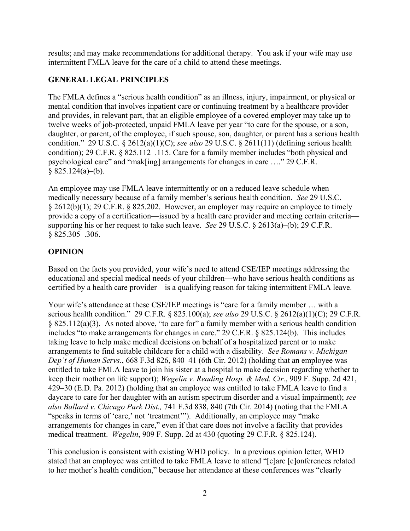results; and may make recommendations for additional therapy. You ask if your wife may use intermittent FMLA leave for the care of a child to attend these meetings.

## **GENERAL LEGAL PRINCIPLES**

The FMLA defines a "serious health condition" as an illness, injury, impairment, or physical or mental condition that involves inpatient care or continuing treatment by a healthcare provider and provides, in relevant part, that an eligible employee of a covered employer may take up to twelve weeks of job-protected, unpaid FMLA leave per year "to care for the spouse, or a son, daughter, or parent, of the employee, if such spouse, son, daughter, or parent has a serious health condition." 29 U.S.C. § 2612(a)(1)(C); *see also* 29 U.S.C. § 2611(11) (defining serious health condition); 29 C.F.R. § 825.112–.115. Care for a family member includes "both physical and psychological care" and "mak[ing] arrangements for changes in care …." 29 C.F.R.  $§$  825.124(a)–(b).

An employee may use FMLA leave intermittently or on a reduced leave schedule when medically necessary because of a family member's serious health condition. *See* 29 U.S.C. § 2612(b)(1); 29 C.F.R. § 825.202. However, an employer may require an employee to timely provide a copy of a certification—issued by a health care provider and meeting certain criteria supporting his or her request to take such leave. *See* 29 U.S.C. § 2613(a)–(b); 29 C.F.R. § 825.305–.306.

## **OPINION**

Based on the facts you provided, your wife's need to attend CSE/IEP meetings addressing the educational and special medical needs of your children—who have serious health conditions as certified by a health care provider—is a qualifying reason for taking intermittent FMLA leave.

Your wife's attendance at these CSE/IEP meetings is "care for a family member … with a serious health condition." 29 C.F.R. § 825.100(a); *see also* 29 U.S.C. § 2612(a)(1)(C); 29 C.F.R. § 825.112(a)(3). As noted above, "to care for" a family member with a serious health condition includes "to make arrangements for changes in care." 29 C.F.R. § 825.124(b). This includes taking leave to help make medical decisions on behalf of a hospitalized parent or to make arrangements to find suitable childcare for a child with a disability. *See Romans v. Michigan Dep't of Human Servs.*, 668 F.3d 826, 840–41 (6th Cir. 2012) (holding that an employee was entitled to take FMLA leave to join his sister at a hospital to make decision regarding whether to keep their mother on life support); *Wegelin v. Reading Hosp. & Med. Ctr.*, 909 F. Supp. 2d 421, 429–30 (E.D. Pa. 2012) (holding that an employee was entitled to take FMLA leave to find a daycare to care for her daughter with an autism spectrum disorder and a visual impairment); *see also Ballard v. Chicago Park Dist.,* 741 F.3d 838, 840 (7th Cir. 2014) (noting that the FMLA "speaks in terms of 'care,' not 'treatment'"). Additionally, an employee may "make arrangements for changes in care," even if that care does not involve a facility that provides medical treatment. *Wegelin*, 909 F. Supp. 2d at 430 (quoting 29 C.F.R. § 825.124).

This conclusion is consistent with existing WHD policy. In a previous opinion letter, WHD stated that an employee was entitled to take FMLA leave to attend "[c]are [c]onferences related to her mother's health condition," because her attendance at these conferences was "clearly